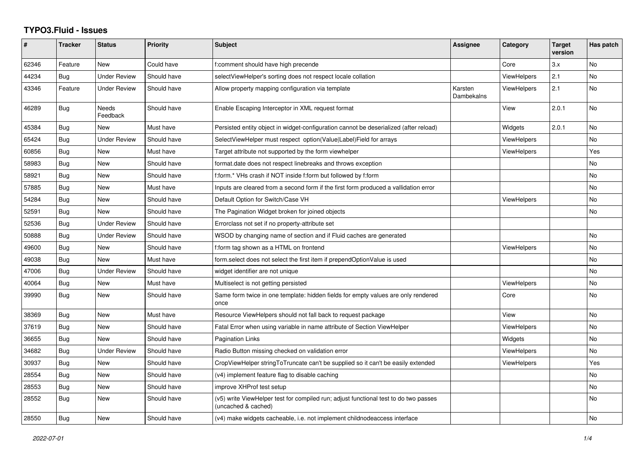## **TYPO3.Fluid - Issues**

| #     | <b>Tracker</b> | <b>Status</b>       | <b>Priority</b> | Subject                                                                                                     | <b>Assignee</b>       | Category           | <b>Target</b><br>version | Has patch      |
|-------|----------------|---------------------|-----------------|-------------------------------------------------------------------------------------------------------------|-----------------------|--------------------|--------------------------|----------------|
| 62346 | Feature        | <b>New</b>          | Could have      | f:comment should have high precende                                                                         |                       | Core               | 3.x                      | <b>No</b>      |
| 44234 | Bug            | <b>Under Review</b> | Should have     | selectViewHelper's sorting does not respect locale collation                                                |                       | <b>ViewHelpers</b> | 2.1                      | <b>No</b>      |
| 43346 | Feature        | Under Review        | Should have     | Allow property mapping configuration via template                                                           | Karsten<br>Dambekalns | <b>ViewHelpers</b> | 2.1                      | N <sub>o</sub> |
| 46289 | <b>Bug</b>     | Needs<br>Feedback   | Should have     | Enable Escaping Interceptor in XML request format                                                           |                       | View               | 2.0.1                    | No             |
| 45384 | Bug            | New                 | Must have       | Persisted entity object in widget-configuration cannot be deserialized (after reload)                       |                       | Widgets            | 2.0.1                    | <b>No</b>      |
| 65424 | Bug            | <b>Under Review</b> | Should have     | SelectViewHelper must respect option(Value Label)Field for arrays                                           |                       | <b>ViewHelpers</b> |                          | <b>No</b>      |
| 60856 | Bug            | New                 | Must have       | Target attribute not supported by the form viewhelper                                                       |                       | <b>ViewHelpers</b> |                          | Yes            |
| 58983 | Bug            | New                 | Should have     | format.date does not respect linebreaks and throws exception                                                |                       |                    |                          | No             |
| 58921 | Bug            | New                 | Should have     | f:form.* VHs crash if NOT inside f:form but followed by f:form                                              |                       |                    |                          | No             |
| 57885 | <b>Bug</b>     | New                 | Must have       | Inputs are cleared from a second form if the first form produced a vallidation error                        |                       |                    |                          | <b>No</b>      |
| 54284 | Bug            | New                 | Should have     | Default Option for Switch/Case VH                                                                           |                       | <b>ViewHelpers</b> |                          | No             |
| 52591 | <b>Bug</b>     | <b>New</b>          | Should have     | The Pagination Widget broken for joined objects                                                             |                       |                    |                          | <b>No</b>      |
| 52536 | Bug            | <b>Under Review</b> | Should have     | Errorclass not set if no property-attribute set                                                             |                       |                    |                          |                |
| 50888 | Bug            | <b>Under Review</b> | Should have     | WSOD by changing name of section and if Fluid caches are generated                                          |                       |                    |                          | No             |
| 49600 | Bug            | <b>New</b>          | Should have     | f:form tag shown as a HTML on frontend                                                                      |                       | <b>ViewHelpers</b> |                          | <b>No</b>      |
| 49038 | Bug            | <b>New</b>          | Must have       | form select does not select the first item if prependOptionValue is used                                    |                       |                    |                          | <b>No</b>      |
| 47006 | Bug            | Under Review        | Should have     | widget identifier are not unique                                                                            |                       |                    |                          | <b>No</b>      |
| 40064 | Bug            | <b>New</b>          | Must have       | Multiselect is not getting persisted                                                                        |                       | <b>ViewHelpers</b> |                          | No             |
| 39990 | Bug            | New                 | Should have     | Same form twice in one template: hidden fields for empty values are only rendered<br>once                   |                       | Core               |                          | No             |
| 38369 | Bug            | New                 | Must have       | Resource ViewHelpers should not fall back to request package                                                |                       | View               |                          | <b>No</b>      |
| 37619 | Bug            | New                 | Should have     | Fatal Error when using variable in name attribute of Section ViewHelper                                     |                       | ViewHelpers        |                          | No             |
| 36655 | <b>Bug</b>     | <b>New</b>          | Should have     | Pagination Links                                                                                            |                       | Widgets            |                          | N <sub>o</sub> |
| 34682 | Bug            | <b>Under Review</b> | Should have     | Radio Button missing checked on validation error                                                            |                       | <b>ViewHelpers</b> |                          | No             |
| 30937 | Bug            | New                 | Should have     | CropViewHelper stringToTruncate can't be supplied so it can't be easily extended                            |                       | <b>ViewHelpers</b> |                          | Yes            |
| 28554 | <b>Bug</b>     | New                 | Should have     | (v4) implement feature flag to disable caching                                                              |                       |                    |                          | No             |
| 28553 | Bug            | New                 | Should have     | improve XHProf test setup                                                                                   |                       |                    |                          | No             |
| 28552 | Bug            | New                 | Should have     | (v5) write ViewHelper test for compiled run; adjust functional test to do two passes<br>(uncached & cached) |                       |                    |                          | No             |
| 28550 | Bug            | New                 | Should have     | (v4) make widgets cacheable, i.e. not implement childnodeaccess interface                                   |                       |                    |                          | No             |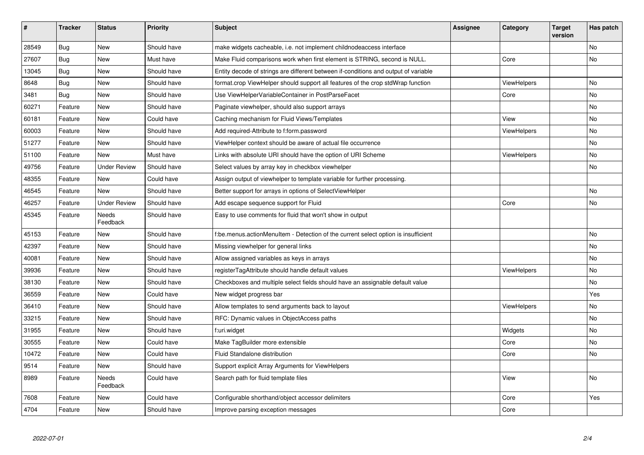| #     | <b>Tracker</b> | <b>Status</b>            | <b>Priority</b> | Subject                                                                             | Assignee | Category           | Target<br>version | Has patch |
|-------|----------------|--------------------------|-----------------|-------------------------------------------------------------------------------------|----------|--------------------|-------------------|-----------|
| 28549 | <b>Bug</b>     | New                      | Should have     | make widgets cacheable, i.e. not implement childnodeaccess interface                |          |                    |                   | <b>No</b> |
| 27607 | <b>Bug</b>     | New                      | Must have       | Make Fluid comparisons work when first element is STRING, second is NULL.           |          | Core               |                   | No        |
| 13045 | <b>Bug</b>     | New                      | Should have     | Entity decode of strings are different between if-conditions and output of variable |          |                    |                   |           |
| 8648  | <b>Bug</b>     | <b>New</b>               | Should have     | format.crop ViewHelper should support all features of the crop stdWrap function     |          | ViewHelpers        |                   | No        |
| 3481  | Bug            | New                      | Should have     | Use ViewHelperVariableContainer in PostParseFacet                                   |          | Core               |                   | No        |
| 60271 | Feature        | <b>New</b>               | Should have     | Paginate viewhelper, should also support arrays                                     |          |                    |                   | No        |
| 60181 | Feature        | <b>New</b>               | Could have      | Caching mechanism for Fluid Views/Templates                                         |          | View               |                   | No        |
| 60003 | Feature        | New                      | Should have     | Add required-Attribute to f:form.password                                           |          | ViewHelpers        |                   | No        |
| 51277 | Feature        | New                      | Should have     | ViewHelper context should be aware of actual file occurrence                        |          |                    |                   | <b>No</b> |
| 51100 | Feature        | <b>New</b>               | Must have       | Links with absolute URI should have the option of URI Scheme                        |          | ViewHelpers        |                   | No        |
| 49756 | Feature        | <b>Under Review</b>      | Should have     | Select values by array key in checkbox viewhelper                                   |          |                    |                   | No        |
| 48355 | Feature        | New                      | Could have      | Assign output of viewhelper to template variable for further processing.            |          |                    |                   |           |
| 46545 | Feature        | New                      | Should have     | Better support for arrays in options of SelectViewHelper                            |          |                    |                   | No        |
| 46257 | Feature        | <b>Under Review</b>      | Should have     | Add escape sequence support for Fluid                                               |          | Core               |                   | No        |
| 45345 | Feature        | Needs<br>Feedback        | Should have     | Easy to use comments for fluid that won't show in output                            |          |                    |                   |           |
| 45153 | Feature        | <b>New</b>               | Should have     | f:be.menus.actionMenuItem - Detection of the current select option is insufficient  |          |                    |                   | No        |
| 42397 | Feature        | <b>New</b>               | Should have     | Missing viewhelper for general links                                                |          |                    |                   | No        |
| 40081 | Feature        | <b>New</b>               | Should have     | Allow assigned variables as keys in arrays                                          |          |                    |                   | No        |
| 39936 | Feature        | New                      | Should have     | registerTagAttribute should handle default values                                   |          | ViewHelpers        |                   | No        |
| 38130 | Feature        | <b>New</b>               | Should have     | Checkboxes and multiple select fields should have an assignable default value       |          |                    |                   | No        |
| 36559 | Feature        | <b>New</b>               | Could have      | New widget progress bar                                                             |          |                    |                   | Yes       |
| 36410 | Feature        | <b>New</b>               | Should have     | Allow templates to send arguments back to layout                                    |          | <b>ViewHelpers</b> |                   | No        |
| 33215 | Feature        | New                      | Should have     | RFC: Dynamic values in ObjectAccess paths                                           |          |                    |                   | No        |
| 31955 | Feature        | <b>New</b>               | Should have     | f:uri.widget                                                                        |          | Widgets            |                   | <b>No</b> |
| 30555 | Feature        | New                      | Could have      | Make TagBuilder more extensible                                                     |          | Core               |                   | No        |
| 10472 | Feature        | New                      | Could have      | Fluid Standalone distribution                                                       |          | Core               |                   | <b>No</b> |
| 9514  | Feature        | New                      | Should have     | Support explicit Array Arguments for ViewHelpers                                    |          |                    |                   |           |
| 8989  | Feature        | <b>Needs</b><br>Feedback | Could have      | Search path for fluid template files                                                |          | View               |                   | No        |
| 7608  | Feature        | New                      | Could have      | Configurable shorthand/object accessor delimiters                                   |          | Core               |                   | Yes       |
| 4704  | Feature        | New                      | Should have     | Improve parsing exception messages                                                  |          | Core               |                   |           |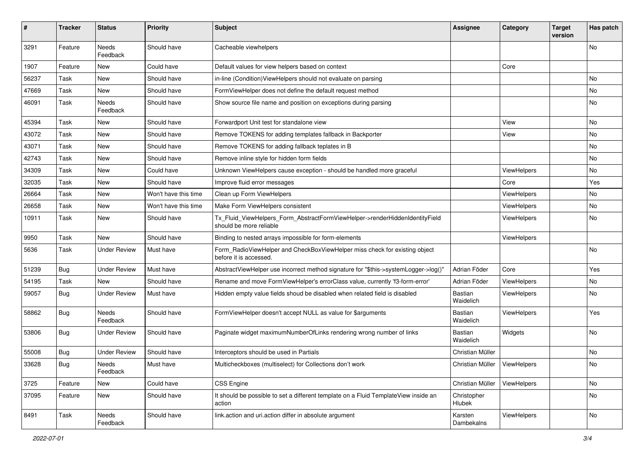| #     | <b>Tracker</b> | <b>Status</b>            | <b>Priority</b>      | <b>Subject</b>                                                                                         | Assignee                       | Category    | <b>Target</b><br>version | Has patch |
|-------|----------------|--------------------------|----------------------|--------------------------------------------------------------------------------------------------------|--------------------------------|-------------|--------------------------|-----------|
| 3291  | Feature        | Needs<br>Feedback        | Should have          | Cacheable viewhelpers                                                                                  |                                |             |                          | <b>No</b> |
| 1907  | Feature        | New                      | Could have           | Default values for view helpers based on context                                                       |                                | Core        |                          |           |
| 56237 | Task           | New                      | Should have          | in-line (Condition) View Helpers should not evaluate on parsing                                        |                                |             |                          | No        |
| 47669 | Task           | New                      | Should have          | FormViewHelper does not define the default request method                                              |                                |             |                          | No        |
| 46091 | Task           | <b>Needs</b><br>Feedback | Should have          | Show source file name and position on exceptions during parsing                                        |                                |             |                          | No        |
| 45394 | Task           | New                      | Should have          | Forwardport Unit test for standalone view                                                              |                                | View        |                          | <b>No</b> |
| 43072 | Task           | New                      | Should have          | Remove TOKENS for adding templates fallback in Backporter                                              |                                | View        |                          | No        |
| 43071 | Task           | New                      | Should have          | Remove TOKENS for adding fallback teplates in B                                                        |                                |             |                          | No        |
| 42743 | Task           | New                      | Should have          | Remove inline style for hidden form fields                                                             |                                |             |                          | <b>No</b> |
| 34309 | Task           | New                      | Could have           | Unknown ViewHelpers cause exception - should be handled more graceful                                  |                                | ViewHelpers |                          | No        |
| 32035 | Task           | New                      | Should have          | Improve fluid error messages                                                                           |                                | Core        |                          | Yes       |
| 26664 | Task           | New                      | Won't have this time | Clean up Form ViewHelpers                                                                              |                                | ViewHelpers |                          | No        |
| 26658 | Task           | New                      | Won't have this time | Make Form ViewHelpers consistent                                                                       |                                | ViewHelpers |                          | No        |
| 10911 | Task           | New                      | Should have          | Tx_Fluid_ViewHelpers_Form_AbstractFormViewHelper->renderHiddenIdentityField<br>should be more reliable |                                | ViewHelpers |                          | No        |
| 9950  | Task           | New                      | Should have          | Binding to nested arrays impossible for form-elements                                                  |                                | ViewHelpers |                          |           |
| 5636  | Task           | Under Review             | Must have            | Form RadioViewHelper and CheckBoxViewHelper miss check for existing object<br>before it is accessed.   |                                |             |                          | No        |
| 51239 | <b>Bug</b>     | <b>Under Review</b>      | Must have            | AbstractViewHelper use incorrect method signature for "\$this->systemLogger->log()"                    | Adrian Föder                   | Core        |                          | Yes       |
| 54195 | Task           | New                      | Should have          | Rename and move FormViewHelper's errorClass value, currently 'f3-form-error'                           | Adrian Föder                   | ViewHelpers |                          | No        |
| 59057 | Bug            | <b>Under Review</b>      | Must have            | Hidden empty value fields shoud be disabled when related field is disabled                             | Bastian<br>Waidelich           | ViewHelpers |                          | <b>No</b> |
| 58862 | Bug            | <b>Needs</b><br>Feedback | Should have          | FormViewHelper doesn't accept NULL as value for \$arguments                                            | Bastian<br>Waidelich           | ViewHelpers |                          | Yes       |
| 53806 | <b>Bug</b>     | Under Review             | Should have          | Paginate widget maximumNumberOfLinks rendering wrong number of links                                   | Bastian<br>Waidelich           | Widgets     |                          | No        |
| 55008 | <b>Bug</b>     | <b>Under Review</b>      | Should have          | Interceptors should be used in Partials                                                                | Christian Müller               |             |                          | No        |
| 33628 | <b>Bug</b>     | Needs<br>Feedback        | Must have            | Multicheckboxes (multiselect) for Collections don't work                                               | Christian Müller   ViewHelpers |             |                          | No        |
| 3725  | Feature        | New                      | Could have           | CSS Engine                                                                                             | Christian Müller               | ViewHelpers |                          | No        |
| 37095 | Feature        | New                      | Should have          | It should be possible to set a different template on a Fluid TemplateView inside an<br>action          | Christopher<br>Hlubek          |             |                          | No        |
| 8491  | Task           | Needs<br>Feedback        | Should have          | link.action and uri.action differ in absolute argument                                                 | Karsten<br>Dambekalns          | ViewHelpers |                          | No        |